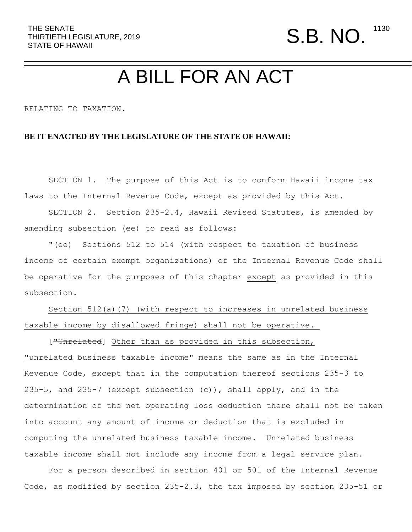## A BILL FOR AN ACT

RELATING TO TAXATION.

## **BE IT ENACTED BY THE LEGISLATURE OF THE STATE OF HAWAII:**

 SECTION 1. The purpose of this Act is to conform Hawaii income tax laws to the Internal Revenue Code, except as provided by this Act.

 SECTION 2. Section 235-2.4, Hawaii Revised Statutes, is amended by amending subsection (ee) to read as follows:

 "(ee) Sections 512 to 514 (with respect to taxation of business income of certain exempt organizations) of the Internal Revenue Code shall be operative for the purposes of this chapter except as provided in this subsection.

Section 512(a)(7) (with respect to increases in unrelated business taxable income by disallowed fringe) shall not be operative.

["Unrelated] Other than as provided in this subsection, "unrelated business taxable income" means the same as in the Internal Revenue Code, except that in the computation thereof sections 235-3 to 235-5, and 235-7 (except subsection  $(c)$ ), shall apply, and in the determination of the net operating loss deduction there shall not be taken into account any amount of income or deduction that is excluded in computing the unrelated business taxable income. Unrelated business taxable income shall not include any income from a legal service plan.

 For a person described in section 401 or 501 of the Internal Revenue Code, as modified by section 235-2.3, the tax imposed by section 235-51 or